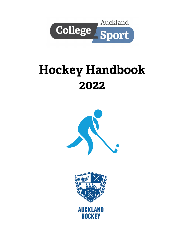

# **Hockey Handbook** 2022



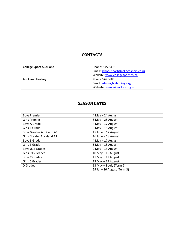## **CONTACTS**

| <b>College Sport Auckland</b> | Phone: 845 8496                        |  |
|-------------------------------|----------------------------------------|--|
|                               | Email: school.sport@collegesport.co.nz |  |
|                               | Website: www.collegesport.co.nz        |  |
| <b>Auckland Hockey</b>        | Phone 576 0683                         |  |
|                               | Email: admin@akhockey.org.nz           |  |
|                               | Website: www.akhockey.org.nz           |  |

## **SEASON DATES**

| <b>Boys Premier</b>             | 4 May - 24 August           |  |
|---------------------------------|-----------------------------|--|
| <b>Girls Premier</b>            | $5$ May $-$ 25 August       |  |
| Boys A Grade                    | 4 May - 17 August           |  |
| Girls A Grade                   | $5$ May $-$ 18 August       |  |
| <b>Boys Greater Auckland A1</b> | 15 June $-$ 17 August       |  |
| Girls Greater Auckland A1       | 16 June - 18 August         |  |
| Boys B Grade                    | 4 May - 17 August           |  |
| Girls B Grade                   | $5$ May $-$ 18 August       |  |
| Boys U15 Grades                 | 9 May - 15 August           |  |
| Girls U15 Grades                | 10 May $-$ 16 August        |  |
| Boys C Grades                   | 11 May $-$ 17 August        |  |
| Girls C Grades                  | 13 May - 19 August          |  |
| D Grades                        | 13 May $-$ 8 July (Term 2)  |  |
|                                 | 29 Jul - 26 August (Term 3) |  |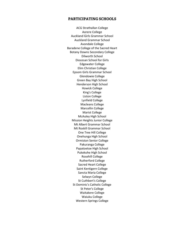#### **PARTICIPATING SCHOOLS**

ACG Strathallan College Aorere College Auckland Girls Grammar School Auckland Grammar School Avondale College Baradene College of the Sacred Heart Botany Downs Secondary College Dilworth School Diocesan School for Girls Edgewater College Elim Christian College Epsom Girls Grammar School Glendowie College Green Bay High School Henderson High School Howick College King's College Liston College Lynfield College Macleans College Marcellin College Marist College McAuley High School Mission Heights Junior College Mt Albert Grammar School Mt Roskill Grammar School One Tree Hill College Onehunga High School Ormiston Senior College Pakuranga College Papatoetoe High School Pukekohe High School Rosehill College Rutherford College Sacred Heart College Saint Kentigern College Sancta Maria College Selwyn College St Cuthbert's College St Dominic's Catholic College St Peter's College Waitakere College Waiuku College Western Springs College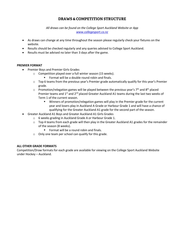## **DRAWS & COMPETITION STRUCTURE**

*All draws can be found on the College Sport Auckland Website or App [www.collegesport.co.nz](http://www.collegesport.co.nz/)*

- As draws can change at any time throughout the season please regularly check your fixtures on the website.
- Results should be checked regularly and any queries advised to College Sport Auckland.
- Results must be advised no later than 3 days after the game.

#### **PREMIER FORMAT**

- Premier Boys and Premier Girls Grades
	- o Competition played over a full winter season (15 weeks).
		- Format will be a double round robin and finals.
	- $\circ$  Top 6 teams from the previous year's Premier grade automatically qualify for this year's Premier grade.
	- $\circ$  Promotion/relegation games will be played between the previous year's 7<sup>th</sup> and 8<sup>th</sup> placed Premier teams and 1<sup>st</sup> and 2<sup>nd</sup> placed Greater Auckland A1 teams during the last two weeks of Term 1 of the current season.
		- **■** Winners of promotion/relegation games will play in the Premier grade for the current year and losers play in Auckland A Grade or Harbour Grade 1 and will have a chance of qualifying for the Greater Auckland A1 grade for the second part of the season.
- Greater Auckland A1 Boys and Greater Auckland A1 Girls Grades
	- o 6 weeks grading in Auckland Grade A or Harbour Grade 1.
	- $\circ$  Top 4 teams from each grade will then play in the Greater Auckland A1 grades for the remainder of the season (8 weeks).
		- Format will be a round robin and finals.
	- o Only one team per school can qualify for this grade.

#### **ALL OTHER GRADE FORMATS**

Competition/Draw formats for each grade are available for viewing on the College Sport Auckland Website under Hockey – Auckland.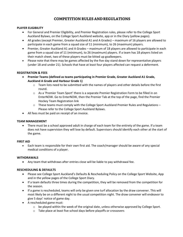## **COMPETITION RULES AND REGULATIONS**

#### **PLAYER ELIGIBILITY**

- For General and Premier Eligibility, and Premier Registration rules, please refer to the College Sport Auckland Bylaws, on the College Sport Auckland website, app or in the Diary (yellow pages).
- All grades (except Premier, Greater Auckland A1 and A Grades) maximum of 16 players are allowed to participate in each game from a squad size of 11 (minimum), to 26 (maximum) players.
- Premier, Greater Auckland A1 and A Grades maximum of 18 players are allowed to participate in each game from a squad size of 11 (minimum), to 26 (maximum) players. If a team has 18 players listed on their match sheet, two of these players must be kitted up goalkeepers.
- Please note that there may be games affected by the five day stand down for representative players (under 18 and under 21). Schools that have at least four players affected can request a deferment.

#### **REGISTRATION & FEES**

- **Premier Teams (defined as teams participating in Premier Grade, Greater Auckland A1 Grade, Auckland A Grade and Harbour Grade 1)**
	- $\circ$  Team lists need to be submitted with the names of players and other details before the first round.
	- $\circ$  As a 'Premier Team Sport' there is a separate Premier Registration Form to be filled in on EnterNOW. Go to EnterNOW, then the Premier Tab at the top of the page, find the Premier Hockey Team Registration link
	- $\circ$  These teams must comply with the College Sport Auckland Premier Rules and Regulations Please refer to the College Sport Auckland Bylaws.
- All fees must be paid on receipt of an invoice.

#### **TEAM MANAGEMENT**

• There must be a school approved adult in charge of each team for the entirety of the game. If a team does not have supervision they will lose by default. Supervisors should identify each other at the start of the game.

#### **FIRST AID**

• Each team is responsible for their own first aid. The coach/manager should be aware of any special medical conditions of a player.

#### **WITHDRAWALS**

• Any team that withdraws after entries close will be liable to pay withdrawal fee.

#### **RESCHEDULING & DEFAULTS**

- Please see College Sport Auckland's Defaults & Rescheduling Policy on the College Sport Website, App and in the yellow pages of the College Sport Diary.
- If a team defaults three times during the competition, they will be removed from the competition for the season.
- If a game is rescheduled, teams will only be given one turf allocation by the draw convener. This will most likely be on a different night to the usual competition night. The draw convener will endeavor to give 5 days' notice of game day.
- A rescheduled game must:
	- $\circ$  be played within the week of the original date, unless otherwise approved by College Sport.
	- o Take place at least five school days before playoffs or crossovers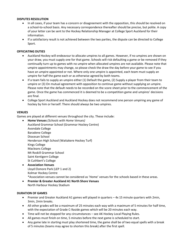#### **DISPUTES RESOLUTION**

- In all cases, if your team has a concern or disagreement with the opposition, this should be resolved on a school-to-school basis. Any necessary correspondence thereafter should be precise, but polite. A copy of your letter can be sent to the Hockey Relationship Manager at College Sport Auckland for their information.
- If a satisfactory result is not achieved between the two parties, the dispute can be directed to College Sport.

#### **OFFICIATING DUTIES**

- Auckland Hockey will endeavour to allocate umpires to all games. However, if no umpires are shown on your draw, you must supply one for that game. Schools will risk defaulting a game or be removed if they continually turn up to games with no umpire when allocated umpires are not available. Please note that umpire appointments may change, so please check the draw the day before your game to see if you have an umpire appointed or not. Where only one umpire is appointed, each team must supply an umpire for half the game each or as otherwise agreed by both teams.
- If a team fails to supply an umpire either (1) Default the game, (2) Supply a player from their team to umpire or (3) On mutual agreement with opposition to continue game without supplying an umpire. Please note that the default needs to be recorded on the score sheet prior to the commencement of the game. Once the game has commenced it is deemed to be a competition game and umpires' decisions are final.
- College Sport Auckland and Auckland Hockey does not recommend one person umpiring any game of hockey by him or herself. There should always be two umpires.

#### **VENUES**

Games are played at different venues throughout the city. These include:

- **Home Venues** *(Schools with Home Venues)* Auckland Grammar School (Grammar Hockey Centre) Avondale College Baradene College Diocesan School Henderson High School (Waitakere Hockey Turf) Kings College Macleans College Mt Roskill Grammar School Saint Kentigern College St Cuthbert's College
- **Association Venues** Lloyd Elsmore Park (LEP 1 and 2) Kolmar Hockey Centre

\*Association venues cannot be considered as 'Home' venues for the schools based in these areas.

• **Premier & Greater Auckland A1 North Shore Venues** North Harbour Hockey Stadium

#### **DURATION OF GAMES**

- Premier and Greater Auckland A1 games will played in quarters 4x 15 minute quarters with 2min, 3min, 2min breaks.
- All other grades will be a maximum of 25 minutes each way with a maximum of 5 minutes for half time, with the expectation of Grade C-9aside games which will be 20 minutes each way.
- Time will not be stopped for any circumstances see AK Hockey Local Playing Rules.
- All games must finish on time, 5 minutes before the next game is scheduled to start.
- Any game late in starting must play shortened time, the game shall be of two equal spells with a break of 5 minutes (teams may agree to shorten this break) after the first spell.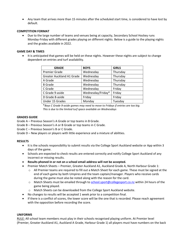• Any team that arrives more than 15 minutes after the scheduled start time, is considered to have lost by default.

#### **COMPETITION FORMAT**

• Due to the large number of teams and venues being at capacity, Secondary School Hockey runs Monday-Friday with different grades playing on different nights. Below is a guide to the playing nights and the grades available in 2022.

#### **GAME DAY & TIMES**

• It is anticipated that games will be held on these nights. However these nights are subject to change dependent on entries and turf availability.

| <b>GRADE</b>              | <b>BOYS</b>       | <b>GIRLS</b> |
|---------------------------|-------------------|--------------|
| <b>Premier Grade</b>      | Wednesday         | Thursday     |
| Greater Auckland A1 Grade | Wednesday         | Thursday     |
| A Grade                   | Wednesday         | Thursday     |
| <b>B</b> Grade            | Wednesday         | Thursday     |
| C Grade                   | Wednesday         | Friday       |
| C Grade 9-aside           | Wednesday/Friday* | Friday       |
| D Grade 8-aside           | Friday            | Friday       |
| Under 15 Grades           | Monday            | Tuesday      |

\**Boys C Grade 9-aside games may need to move to Fridays if entries are too big. This is due to the limited turf space available on Wednesdays*

#### **GRADES GUIDE**

Grade A – Previous Season's A Grade or top teams in B Grade.

- Grade B Previous Season's A or B Grade or top teams in C Grade.
- Grade C Previous Season's B or C Grade.
- Grade D New players or players with little experience and a mixture of abilities.

#### **RESULTS**

- It is the schools responsibility to submit results via the College Sport Auckland website or App within 3 days of the game.
- Schools are expected to check results are entered correctly and notify College Sport Auckland of any incorrect or missing results.
- **Results phoned in or not on a school email address will not be accepted.**
- Premier Match Sheets Premier, Greater Auckland A1, Auckland Grade A, North Harbour Grade 1:
	- o All Premier teams are required to fill out a Match Sheet for each game. These must be signed at the end of each game by both Umpires and the team captain/manager. Players who receive cards during the game must also be noted along with the reason for the card.
	- o Match Sheets must be emailed through to [school.sport@collegesport.co.nz](mailto:school.sport@collegesport.co.nz) within 24 hours of the game being played.
	- o Match Sheets can be downloaded from the College Sport Auckland website.
- No changes to results will be accepted 1 week prior to a competition final.
- If there is a conflict of scores, the lower score will be the one that is recorded. Please reach agreement with the opposition before recording the score.

#### **UNIFORMS**

RULE: All school team members must play in their schools recognised playing uniform. At Premier level (Premier, Greater Auckland A1, Auckland A Grade, Harbour Grade 1) all players must have numbers on the back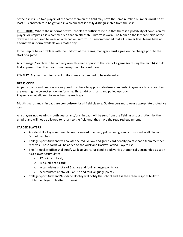of their shirts. No two players of the same team on the field may have the same number. Numbers must be at least 15 centimeters in height and in a colour that is easily distinguishable from the shirt.

PROCEDURE: Where the uniforms of two schools are sufficiently close that there is a possibility of confusion by players or umpires it is recommended that an alternate uniform is worn. The team on the left hand side of the draw will be required to wear an alternative uniform. It is recommended that all Premier level teams have an alternative uniform available on a match day.

If the umpire has a problem with the uniform of the teams, managers must agree on the change prior to the start of a game.

Any manager/coach who has a query over this matter prior to the start of a game (or during the match) should first approach the other team's manager/coach for a solution.

PENALTY: Any team not in correct uniform may be deemed to have defaulted.

#### **DRESS CODE**

All participants and umpires are required to adhere to appropriate dress standards. Players are to ensure they are wearing the correct school uniform i.e. Shirt, skirt or shorts, and pulled up socks. Players are not allowed to wear hard peaked caps.

Mouth guards and shin pads are **compulsory** for all field players. Goalkeepers must wear appropriate protective gear.

Any players not wearing mouth guards and/or shin pads will be sent from the field (as a substitution) by the umpire and will not be allowed to return to the field until they have the required equipment.

#### **CARDED PLAYERS**

- Auckland Hockey is required to keep a record of all red, yellow and green cards issued in all Club and School matches.
- College Sport Auckland will collate the red, yellow and green card penalty points that a team member receives. These cards will be added to the Auckland Hockey Carded Players list
- The AK Hockey office shall notify College Sport Auckland if a player is automatically suspended as soon as a player accumulates:
	- o 12 points in total;
	- o is issued a red card;
	- o accumulates a total of 6 abuse and foul language points; or
	- o accumulates a total of 9 abuse and foul language points
- College Sport Auckland/Auckland Hockey will notify the school and it is then their responsibility to notify the player of his/her suspension.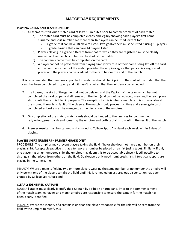## **MATCH DAY REQUIREMENTS**

#### **PLAYING CARDS AND TEAM NUMBERS**

- 1. All teams must fill out a match card at least 15 minutes prior to commencement of each match
	- a) The match card must be completed clearly and legibly showing each player's first name, surname and shirt number. No more than 16 players can be listed, except for:
		- o A grade that can have 18 players listed. Two goalkeepers must be listed if using 18 players
		- o C grade 9-aside that can have 14 players listed.
	- b) Players playing in a grade different from that for which they are registered must be clearly marked on the match card before the start of the match.
	- c) The captain's name must be completed on the card
	- d) A player cannot be prevented from playing simply by virtue of their name being left off the card at the commencement of the match provided the umpires agree that person is a registered player and the players name is added to the card before the end of the match.

It is recommended that umpires appointed to matches should check prior to the start of the match that the card has been completed properly and if it hasn't required that the deficiency be remedied.

- 2. In all cases, the start of the game shall not be delayed and the Captain of the team which has not completed the card properly shall remain off the field (and cannot be replaced, meaning the team plays short) until the card is filled in properly. The exception to this is when a match card is not available at the ground through no fault of the players. The match should proceed on time and a surrogate card completed as best as can be managed, at the discretion of the umpires.
- 3. On completion of the match, match cards should be handed to the umpires for comment e.g. red/yellow/green cards and signed by the umpires and both captains to confirm the result of the match.
- 4. Premier results must be scanned and emailed to College Sport Auckland each week within 3 days of playing.

#### **PLAYERS SHIRT NUMBERS – PREMIER GRADE ONLY**

PROCEDURE: The umpires may prevent players taking the field if he or she does not have a number on their playing shirt. Acceptable practice is that a temporary number be placed on a shirt (using tape). Similarly, if only one player has an unnumbered shirt the umpires may deem this to be acceptable since it is still possible to distinguish that player from others on the field. Goalkeepers only need numbered shirts if two goalkeepers are playing in the same game.

PENALTY: Where a team is fielding two or more players wearing the same number or no number the umpire will only permit one of the players to take the field until this is remedied unless previous dispensation has been granted by College Sport Auckland.

#### **CLEARLY IDENTIFIED CAPTAINS**

RULE: All grades must clearly identify their Captain by a ribbon or arm band. Prior to the commencement of the match team managers and match umpires are responsible to ensure the captain for the match has been clearly identified.

PENALTY: Where the identity of a captain is unclear, the player responsible for the role will be sent from the field by the umpire to rectify this.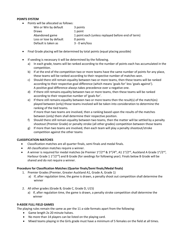#### **POINTS SYSTEM**

• Points will be allocated as follows:

| Win or Win by default   | 3 points                                          |
|-------------------------|---------------------------------------------------|
| <b>Draws</b>            | 1 point                                           |
| Abandoned game          | 1 point each (unless replayed before end of term) |
| Loss or lose by default | 0 points                                          |
| Default is taken as     | $3 - 0$ win/loss                                  |
|                         |                                                   |

- Final Grade placing will be determined by total points (equal placing possible)
- If seeding is necessary it will be determined by the following.
	- a) In each grade, teams will be ranked according to the number of points each has accumulated in the competition.
	- b) If at the end of the competition two or more teams have the same number of points for any place, these teams will be ranked according to their respective number of matches won.
	- c) Should there still remain equality between two or more teams, then these teams will be ranked according to their respective goal difference (which means 'goals for' less 'goals against'). A positive goal difference always takes precedence over a negative one.
	- d) If there still remains equality between two or more teams, then these teams will be ranked according to their respective number of 'goals for'.
	- e) If there still remains equality between two or more teams then the result(s) of the match(es) played between (only) those teams involved will be taken into consideration to determine the ranking of the tied teams.

If more than two teams are involved, then a ranking based upon the results of the matches between (only) them shall determine their respective position.

- f) Should there still remain equality between two teams, then the matter will be settled by a penalty shootout (Premier Grade) or penalty stroke (all other grades) competition between those teams
- g) If more than two teams are involved, then each team will play a penalty shootout/stroke competition against the other teams

#### **CLASSIFICATION MATCHES**

- Classification matches are all quarter finals, semi finals and medal finals.
- All classification matches require a winner.
- A winner is required for medal matches (ie Premier  $1^{st}/2^{nd}$  &  $3^{rd}/4^{th}$ , A1  $1^{st}/2^{nd}$ , Auckland A Grade  $1^{st}/2^{nd}$ , Harbour Grade 1 1<sup>st</sup>/2<sup>nd</sup>) and B Grade (for seedings for following year). Finals below B Grade will be shared and do not require a winner.

#### **Procedure for Classification Matches (Quarter finals/Semi finals/Medal finals)**

- 1. Premier Grades (Premier, Greater Auckland A1, Grade A, Grade 1)
	- a) If, after regulation time, the game is drawn, a penalty shoot out competition shall determine the winner
- 2. All other grades (Grade B, Grade C, Grade D, U15)
	- a) If, after regulation time, the game is drawn, a penalty stroke competition shall determine the winner

#### **9-ASIDE FULL FIELD GAMES**

The playing rules remain the same as per the 11 a-side formats apart from the following:

- Game length 2x 20 minute halves.
- No more than 14 players can be listed on the playing card.
- Mixed teams playing in the Girls grade must have a minimum of 5 females on the field at all times.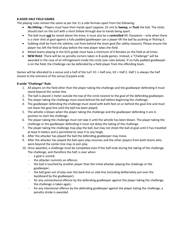#### **8-ASIDE HALF FIELD GAMES**

The playing rules remain the same as per the 11 a-side formats apart from the following:

- **No Hitting –** Players must have their hands apart (approx. 25 cm) to **Sweep,** or **Push** the ball. The sticks should start on the turf with a short follow through due to hands being apart.
- The ball must **not** be raised above the knee; it must also be a **controlled** lift. Exception only when there is a clear shot at goal against a fully padded goalkeeper can a player lift the ball by pushing or flicking it.
- Subbing shall be from the sideline, not from behind the team goal (for safety reasons). Please ensure the player has left the field of play before the new player takes the field.
- Mixed teams playing in the Girls grade must have a minimum of 6 females on the field at all times.
- **NEW RULE**: There will be no penalty corners taken in 8-aside games. Instead, a "Challenge" will be awarded in the case of an infringement inside the circle (see rules below). If no fully padded goalkeeper is on the field, the Challenge can be defended by a field player from the offending team.

Games will be allocated to a venue and a half of the turf. H1 = Half one, H2 = Half 2. Half 1 is always the half closest to the entrance of the venue (Carpark end).

#### **8-aside "Challenge" Rule:**

- 1. All players on the field other than the player taking the challenge and the goalkeeper defending it must stand beyond the center-line.
- 2. The ball is placed 1 meter outside the top of the circle nearest to the goal of the defending goalkeeper..
- 3. The player taking the challenge must stand behind the ball before beginning the challenge.
- 4. The goalkeeper defending the challenge must stand with both feet on or behind the goal-line and must not leave the goal-line until the ball has been played.
- 5. The whistle is blown when the player taking the challenge and the goalkeeper defending it are in position to start the challenge.
- 6. The player taking the challenge must not take it until the whistle has been blown. The player taking the challenge or the goalkeeper defending it must not delay the taking of the challenge.
- 7. The player taking the challenge may play the ball, but may not shoot the ball at goal until it has travelled at least 4 meters and is permitted to raise it to any heigh.
- 8. After the attacker has played the ball the defending goalkeeper may move.
- 9. After the attacker has played the ball open play resumes and the other players from both teams who were beyond the center-line may re-join play
- 10. Once awarded, a challenge must be completed even if the half ends during the taking of the challenge. The challenge, and therefore the half, is over when:
	- a goal is scored;
	- the attacker commits an offence;
	- the ball is touched by another player than the initial attacker playing the challenge or the goalkeeper;
	- the ball goes out of play over the back-line or side-line (including deliberately put over the backboard by the goalkeeper).
	- for any unintentional offence by the defending goalkeeper against the player taking the challenge, the challenge is taken again;
	- for any intentional offence by the defending goalkeeper against the player taking the challenge, a penalty stroke is awarded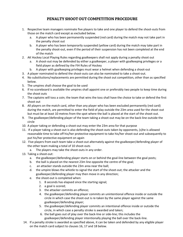## PENALTY SHOOT OUT COMPETITION PROCEDURE

- 1. Respective team managers nominate five players to take and one player to defend the shoot-outs from those on the match card except as excluded below.
	- a. A player who has been permanently suspended (red card) during the match may not take part in the penalty shoot out
	- b. A player who has been temporarily suspended (yellow card) during the match may take part in the penalty shoot-out, even if the period of their suspension has not been completed at the end of the match
- 2. AK Hockey Local Playing Rules regarding goalkeepers shall not apply during a penalty shoot out
	- a. A shoot-out may be defended by either a goalkeeper, a player with goalkeeping privileges or a field player as defined by the FIH Rules of Hockey
	- b. A player with goalkeeping privileges must wear a helmet when defending a shoot-out
- 3. A player nominated to defend the shoot-outs can also be nominated to take a shoot-out.
- 4. No substitutions/replacements are permitted during the shoot out competition, other than as specified below.
- 5. The umpires shall choose the goal to be used
- 6. If no scoreboard is available the umpires shall appoint one or preferably two people to keep time during the shoot outs
- 7. The captains will toss a coin; the team that wins the toss shall have the choice to take or defend the first shoot out
- 8. All players on the match card, other than any player who has been excluded permanently (red card) during the match, are permitted to enter the field of play outside the 23m area used for the shoot-out but must be at least 10 metres from the spot where the ball is placed at the start of the shoot-out.
- 9. The goalkeeper/defending player of the team taking a shoot-out may be on the back-line outside the circle
- 10. A player taking or defending a shoot-out may enter the 23m area for that purpose
- 11. If a player taking a shoot-out is also defending the shoot-outs taken by opponents, (s)he is allowed reasonable time to take off his/her protective equipment to take his/her shoot-out and subsequently to put his/her protective equipment on again
- 12. Five players from each team take a shoot-out alternately against the goalkeeper/defending player of the other team making a total of 10 shoot-outs
	- a. The players may take the shoot-outs in any order.
- 13. Taking a shoot-out:
	- a. the goalkeeper/defending player starts on or behind the goal-line between the goal posts;
	- b. the ball is placed on the nearest 23m line opposite the centre of the goal;
	- c. an attacker stands outside the 23m area near the ball;
	- d. the umpire blows the whistle to signal the start of the shoot-out; the attacker and the goalkeeper/defending player may then move in any direction;
	- e. the shoot-out is completed when:
		- 1. 8 seconds has elapsed since the starting signal;
		- 2. a goal is scored;
		- 3. the attacker commits an offence;
		- 4. the goalkeeper/defending player commits an unintentional offence inside or outside the circle in which case the shoot-out is re-taken by the same player against the same goalkeeper/defending player;
		- 5. the goalkeeper/defending player commits an intentional offence inside or outside the circle, in which case a penalty stroke is awarded and taken;
		- 6. the ball goes out of play over the back-line or side-line; this includes the goalkeeper/defending player intentionally playing the ball over the back-line.
- 14. If a penalty stroke is awarded as specified above, it can be taken and defended by any eligible player on the match card subject to clauses 16, 17 and 18 below.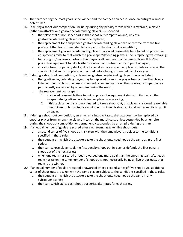- 15. The team scoring the most goals is the winner and the competition ceases once an outright winner is determined.
- 16. If during a shoot-out competition (including during any penalty stroke which is awarded) a player (either an attacker or a goalkeeper/defending player) is suspended:
	- a. that player takes no further part in that shoot-out competition and, unless a goalkeeper/defending player, cannot be replaced;
	- b. the replacement for a suspended goalkeeper/defending player can only come from the five players of that team nominated to take part in the shoot-out competition;
	- c. the replacement goalkeeper/defending player is allowed reasonable time to put on protective equipment similar to that which the goalkeeper/defending player (s)he is replacing was wearing;
	- d. for taking his/her own shoot-out, this player is allowed reasonable time to take off his/her protective equipment to take his/her shoot-out and subsequently to put it on again;
	- e. any shoot-out (or penalty stroke) due to be taken by a suspended player counts as no goal; the shoot-outs taken by this player and scored before being suspended count as a goal.
- 17. If during a shoot-out competition, a defending goalkeeper/defending player is incapacitated;
	- a. that goalkeeper/defending player may be replaced by another player from among the players listed on the match card, unless suspended by an umpire during the shoot-out competition or permanently suspended by an umpire during the match;
	- b. the replacement goalkeeper;
		- 1. is allowed reasonable time to put on protective equipment similar to that which the incapacitated goalkeeper / defending player was wearing;
		- 2. if this replacement is also nominated to take a shoot-out, this player is allowed reasonable time to take off his protective equipment to take his shoot-out and subsequently to put it on again.
- 18. If during a shoot-out competition, an attacker is incapacitated, that attacker may be replaced by another player from among the players listed on the match card, unless suspended by an umpire during the shoot-out competition or permanently suspended by an umpire during the match
- 19. If an equal number of goals are scored after each team has taken five shoot-outs;
	- a. a second series of five shoot-outs is taken with the same players, subject to the conditions specified in these rules;
	- b. the sequence in which the attackers take the shoot-outs need not be the same as in the first series;
	- c. the team whose player took the first penalty shoot-out in a series defends the first penalty shoot-out of the next series;
	- d. when one team has scored or been awarded one more goal than the opposing team after each team has taken the same number of shoot-outs, not necessarily being all five shoot-outs, that team is the winner.
- 20. If an equal number of goals are scored or awarded after a second series of five shoot-outs, additional series of shoot-outs are taken with the same players subject to the conditions specified in these rules:
	- a. the sequence in which the attackers take the shoot-outs need not be the same in any subsequent series;
	- b. the team which starts each shoot-out series alternates for each series.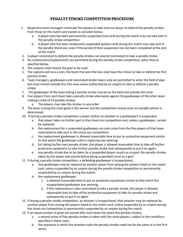## PENALTY STROKE COMPETITION PROCEDURE

- 1. Respective team managers nominate five players to take and one player to defend the penalty strokes from those on the match card except as excluded below.
	- a. A player who has been permanently suspended (red card) during the match may not take part in the penalty stroke competition
	- b. A player who has been temporarily suspended (yellow card) during the match may take part in the penalty shoot-out, even if the period of their suspension has not been completed at the end of the match
- 2. A player nominated to defend the penalty strokes can also be nominated to take a penalty stroke.
- 3. No substitutions/replacements are permitted during the penalty stroke competition, other than as specified below.
- 4. The umpires shall choose the goal to be used
- 5. The captains will toss a coin; the team that wins the toss shall have the choice to take or defend the first penalty stroke
- 6. Team managers, goalkeepers and nominated stroke takers only are permitted to enter the field of play but must remain outside the 23m area unless authorised by an umpire to take or defend a penalty stroke
- 7. The goalkeeper of the team taking a penalty stroke may be on the back-line outside the circle
- 8. Five players from each team take a penalty stroke alternately against the goalkeeper of the other team making a total of 10 penalty strokes
	- a. The players may take the strokes in any order
- 9. The team scoring the most goals is the winner and the competition ceases once an outright winner is determined.
- 10. If during a penalty stroke competition a player (either an attacker or a goalkeeper) is suspended:
	- a. that player takes no further part in that shoot-out competition and, unless a goalkeeper, cannot be replaced;
	- b. the replacement for a suspended goalkeeper can only come from the five players of that team nominated to take part in the shoot-out competition:
	- c. the replacement goalkeeper is allowed reasonable time to put on protective equipment similar to that which the goalkeeper (s)he is replacing was wearing;
	- d. for taking his/her own penalty stroke, this player is allowed reasonable time to take off his/her protective equipment to take his/her penalty stroke and subsequently to put it on again;
	- e. any penalty stroke due to be taken by a suspended player counts as no goal; the penalty strokes taken by this player and scored before being suspended count as a goal.
- 11. If during a penalty stroke competition, a defending goalkeeper is incapacitated;
	- a. that goalkeeper may be replaced by another player from among the players listed on the match card, unless suspended by an umpire during the penalty stroke competition or permanently suspended by an umpire during the match;
	- b. the replacement goalkeeper;
		- 1. is allowed reasonable time to put on protective equipment similar to that which the incapacitated goalkeeper was wearing;
		- 2. if this replacement is also nominated to take a penalty stroke, this player is allowed reasonable time to take off his protective equipment to take his penalty stroke and subsequently to put it on again.
- 12. If during a penalty stroke competition, an attacker is incapacitated, that attacker may be replaced by another player from among the players listed on the match card, unless suspended by an umpire during the shoot-out competition or permanently suspended by an umpire during the match
- 13. If an equal number of goals are scored after each team has taken five penalty strokes;
	- a. a second series of five penalty strokes is taken with the same players, subject to the conditions specified in these rules;
	- b. the sequence in which the attackers take the penalty strokes need not be the same as in the first series;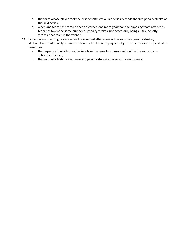- c. the team whose player took the first penalty stroke in a series defends the first penalty stroke of the next series;
- d. when one team has scored or been awarded one more goal than the opposing team after each team has taken the same number of penalty strokes, not necessarily being all five penalty strokes, that team is the winner.
- 14. If an equal number of goals are scored or awarded after a second series of five penalty strokes, additional series of penalty strokes are taken with the same players subject to the conditions specified in these rules:
	- a. the sequence in which the attackers take the penalty strokes need not be the same in any subsequent series;
	- b. the team which starts each series of penalty strokes alternates for each series.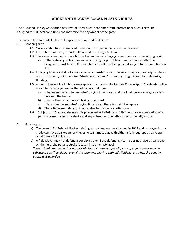## **AUCKLAND HOCKEY- LOCAL PLAYING RULES**

The Auckland Hockey Association has several "local rules" that differ from International rules. These are designed to suit local conditions and maximise the enjoyment of the game.

The current FIH Rules of Hockey will apply, except as modified below

- 1. Stopping time
	- 1.1 Once a match has commenced, time is not stopped under any circumstances
	- 1.2 If a match starts late, it must still finish at the designated time
	- 1.3 The game is deemed to have finished when the watering cycle commences or the lights go out
		- a) If the watering cycle commences or the lights go out less than 55 minutes after the designated start time of the match, the result may be appealed subject to the conditions in 1.5
	- 1.4 If playing time is lost due to unavoidable circumstances such as serious injury (meaning: rendered unconscious and/or immobilised/stretchered off and/or clearing of significant blood deposits; or flooding,
	- 1.5 either of the involved schools may appeal to Auckland Hockey (via College Sport Auckland) for the match to be replayed under the following conditions:
		- a) If between five and ten minutes' playing time is lost, and the final score is one goal or less between the teams
		- b) If more than ten minutes' playing time is lost
		- c) If less than five minutes' playing time is lost, there is no right of appeal
		- d) These times exclude any time lost due to the game starting late
	- 1.6 Subject to 1.3 above, the match is prolonged at half-time or full-time to allow completion of a penalty corner or penalty stroke and any subsequent penalty corner or penalty stroke
- 2. Goalkeepers
	- a) The current FIH Rules of Hockey relating to goalkeepers has changed in 2019 and no player in any grade can have goalkeeper privileges. A team must play with either a fully-equipped goalkeeper, or with only field players.
	- b) A field player may not defend a penalty stroke. If the defending team does not have a goalkeeper on the field, the penalty stroke is taken into an empty goal

*Teams should remember it is permissible to substitute at a penalty stroke; a goalkeeper may be substituted on if available, even if the team was playing with only field players when the penalty stroke was awarded.*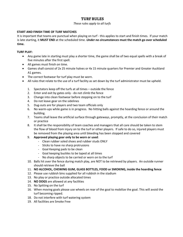### **TURF RULES**

#### *These rules apply to all turfs*

#### **START AND FINISH TIME OF TURF MATCHES**

It is important that teams are punctual when playing on turf - this applies to start and finish times. If your match is late starting, it **MUST END** at the scheduled time. *Under no circumstances* **must the match go over scheduled time.**

#### **TURF PLAY:**

- Any game late in starting must play a shorter time, the game shall be of two equal spells with a break of five minutes after the first spell.
- All games must finish on time.
- Games shall consist of 2x 25 minute halves or 4x 15 minute quarters for Premier and Greater Auckland A1 games.
- The correct footwear for turf play must be worn.
- All rules that relate to the use of a turf facility as set down by the turf administrator must be upheld.
	- 1. Spectators keep off the turfs at all times outside the fence
	- 2. Enter and exit by gates only do not climb the fence
	- 3. Change into clean footwear before stepping on to the turf
	- 4. Do not leave gear on the sidelines
	- 5. Dug-outs are for players and two team officials only
	- 6. No warm-ups while game is in progress. No hitting balls against the hoarding fence or around the building.
	- 7. Teams shall leave the artificial surface through gateways, promptly, at the conclusion of their match or practice
	- 8. It shall be the responsibility of team coaches and managers that all care should be taken to stem the flow of blood from injury on to the turf or other players. If safe to do so, injured players must be removed from the playing area until bleeding has been stopped and covered
	- 9. **Approved playing gear only to be worn or used**:
		- Clean rubber soled shoes and rubber studs ONLY
		- Sticks to have no sharp protrusions
		- Goal Keeping pads to be clean
		- Goal keeping buckles to be taped at all times
		- No sharp objects to be carried or worn on to the turf
	- 10. Balls hit over the fence during match play, are NOT to be retrieved by players. An outside runner should retrieve the ball
	- 11. **NO ALCOHOL, CHEWING GUM, GLASS BOTTLES, FOOD or SMOKING, inside the hoarding fence**
	- 12. Please use rubbish bins supplied for all rubbish in the stadium
	- 13. No play or practice outside allocated times
	- 14. **NO DOGS** are allowed at any facilities
	- 15. No Spitting on the turf
	- 16. When moving goals please use wheels on rear of the goal to mobilize the goal. This will avoid the turf becoming ripped.
	- 18. Do not interfere with turf watering system
	- 19. All facilities are Smoke Free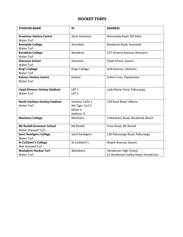## **HOCKEY TURFS**

| <b>STADIUM NAME</b>                 | ID                   | <b>ADDRESS</b>                      |
|-------------------------------------|----------------------|-------------------------------------|
| <b>Grammar Hockey Centre</b>        | <b>Auck Grammar</b>  | Normanby Road, Mt Eden              |
| <b>Water Turf</b>                   |                      |                                     |
| <b>Avondale College</b>             | Avondale             | Rosebank Road, Avondale             |
| <b>Water Turf</b>                   |                      |                                     |
| <b>Baradene College</b>             | <b>Baradene</b>      | 237 Victoria Avenue, Remuera        |
| <b>Water Turf</b>                   |                      |                                     |
| <b>Diocesan School</b>              | Diocesan             | Clyde Street, Epsom                 |
| <b>Water Turf</b>                   |                      |                                     |
| <b>King's College</b>               | <b>Kings College</b> | Golf Avenue, Otahuhu                |
| <b>Water Turf</b>                   |                      |                                     |
| <b>Kolmar Hockey Centre</b>         | Kolmar               | Sutton Cres, Papatoetoe             |
| <b>Water Turf</b>                   |                      |                                     |
|                                     |                      |                                     |
| <b>Lloyd Elsmore Hockey Stadium</b> | LEP <sub>1</sub>     | Lady Marie Drive, Pakuranga         |
| <b>Water Turf</b>                   | LEP <sub>2</sub>     |                                     |
| <b>North Harbour Hockey Stadium</b> | Harbour Cello 1      | 159 Bush Road, Albany               |
| <b>Water Turf</b>                   | NH Tiger Turf 2      |                                     |
|                                     | Miller 3             |                                     |
|                                     | Harbour 4            |                                     |
| <b>Macleans College</b>             | Macleans             | 2 Macleans Road, Bucklands Beach    |
|                                     |                      |                                     |
| <b>Mt Roskill Grammar School</b>    | Mt Roskill           | Frost Road, Mt Roskill              |
| <b>Water Dressed Turf</b>           |                      |                                     |
| <b>Saint Kentigern College</b>      | Saint Kentigern      | 130 Pakuranga Road, Pakuranga       |
| <b>Water Turf</b>                   |                      |                                     |
| <b>St Cuthbert's College</b>        | St Cuthbert's        | Wapiti Avenue, Epsom                |
| Wet Dressed Turf                    |                      |                                     |
| <b>Waitakere Hockey Turf</b>        | Waitakere            | Henderson High School               |
| <b>Water Turf</b>                   |                      | 21 Henderson Valley Road, Henderson |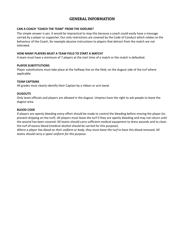## **GENERAL INFORMATION**

#### **CAN A COACH "COACH THE TEAM" FROM THE SIDELINE?**

The simple answer is yes. It would be impractical to stop this because a coach could easily have a message carried by a player or supporter. Our only restrictions are covered by the Code of Conduct which relates to the behaviour of the Coach, for example abusive instructions to players that detract from the match are not tolerated.

#### **HOW MANY PLAYERS MUST A TEAM FIELD TO START A MATCH?**

A team must have a minimum of 7 players at the start time of a match or the match is defaulted.

#### **PLAYER SUBSTITUTIONS**

Player substitutions must take place at the halfway line on the field, on the dugout side of the turf where applicable.

#### **TEAM CAPTAINS**

All grades must clearly identify their Captain by a ribbon or arm band.

#### **DUGOUTS**

Only team officials and players are allowed in the dugout. Umpires have the right to ask people to leave the dugout area.

#### **BLOOD CODE**

If players are openly bleeding every effort should be made to control the bleeding before moving the player (to prevent dripping on the turf). All players must leave the turf if they are openly bleeding and may not return until the wound has been covered. All teams should carry sufficient medical equipment to dress wounds and to clean the turf of excess blood (medical alcohol should be carried for this purpose).

*Where a player has blood on their uniform or body, they must leave the turf to have this blood removed. All teams should carry a spare uniform for this purpose.*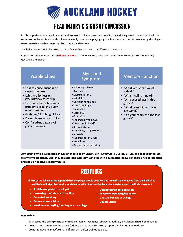

# **HEAD INJURY & SIGNS OF CONCUSSION**

In all competitions managed by Auckland Hockey if a player receives a head injury with suspected concussion, Auckland Hockey must be notified and the player may only commence playing again when a medical certificate clearing the player to return to hockey has been supplied to Auckland Hockey.

The below steps should be taken to identify whether a player has suffered a concussion.

Concussion should be suspected if one or more of the following visible clues, signs, symptoms or errors in memory questions are present.

## **Visible Clues**

- Loss of consciousness or responsiveness
- Lying motionless on ground/slow to get up
- Unsteady on feet/balance problems or falling over/ incoordination
- Grabbing/clutching of head
- · Dazed, blank or vacant look
- Confused/not aware of plays or events

## **Signs and Symptoms**

- · Balance problems
- Drowsiness
- · More emotional
- · Irritability
- Nervous or anxious
- · "Don't feel right"
- Headache
- · Dizziness
- Confusion
- Feeling slowed down
- "Pressure in head"
- Blurred Vision
- Sensitivity to light/noise
- · Amnesia
- Feeling like "in a fog"
- Neck Pain
- · Difficulty concentrating

## **Memory Function**

- . "What venue are we at today?"
- "Which half is it now?"
- . "Who scored last in this game?"
- "What team did you play last week?"
- . "Did your team win the last game?"

Any athlete with a suspected concussion should be IMMEDIATELY REMOVED FROM THE GAME, and should not return to any physical activity until they are assessed medically. Athletes with a suspected concussion should not be left alone and should not drive a motor vehicle.

# **RED FLAGS**

If ANY of the following are reported then the player should be safely and immediately removed from the field. If no qualified medical professional is available, consider transporting by ambulance for urgent medical assessment:

- Athlete complains of neck pain
- **Increasing confusion or irritability**
- **Repeated vomiting**
- **Seizure or convulsion**
- Weakness or tingling/burning in arms or legs
- **Deteriorating conscious state**
- **Severe or increasing headache**
- **Unusual behaviour change**
- **Double vision**

#### **Remember:**

- In all cases, the basic principles of first aid (danger, response, airway, breathing, circulation) should be followed
- Do not attempt to move the player (other than required for airway support) unless trained to do so
- Do not remove helmet/facemask (if present) unless trained to do so.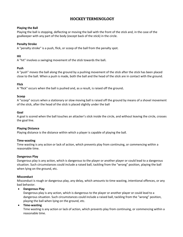## **HOCKEY TERMINOLOGY**

#### **Playing the Ball**

Playing the ball is stopping, deflecting or moving the ball with the front of the stick and, in the case of the goalkeeper with any part of the body (except back of the stick) in the circle.

#### **Penalty Stroke**

A "penalty stroke" is a push, flick, or scoop of the ball from the penalty spot.

#### **Hit**

A "hit" involves a swinging movement of the stick towards the ball**.**

#### **Push**

A "push" moves the ball along the ground by a pushing movement of the stick after the stick has been placed close to the ball. When a push is made, both the ball and the head of the stick are in contact with the ground.

#### **Flick**

A "flick" occurs when the ball is pushed and, as a result, is raised off the ground**.**

#### **Scoop**

A "scoop" occurs when a stationary or slow moving ball is raised off the ground by means of a shovel movement of the stick, after the head of the stick is placed slightly under the ball

#### **Goal**

A goal is scored when the ball touches an attacker's stick inside the circle, and without leaving the circle, crosses the goal line.

#### **Playing Distance**

Playing distance is the distance within which a player is capable of playing the ball.

#### **Time-wasting**

Time wasting is any action or lack of action, which prevents play from continuing, or commencing within a reasonable time.

#### **Dangerous Play**

Dangerous play is any action, which is dangerous to the player or another player or could lead to a dangerous situation. Such circumstances could include a raised ball, tackling from the "wrong" position, playing the ball when lying on the ground, etc.

#### **Misconduct**

Misconduct is rough or dangerous play, any delay, which amounts to time wasting, intentional offences, or any bad behavior.

#### • **Dangerous Play**

Dangerous play is any action, which is dangerous to the player or another player or could lead to a dangerous situation. Such circumstances could include a raised ball, tackling from the "wrong" position, playing the ball when lying on the ground, etc.

#### • **Time-wasting**

Time wasting is any action or lack of action, which prevents play from continuing, or commencing within a reasonable time.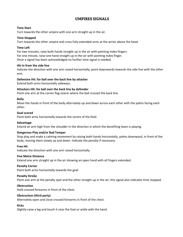## **UMPIRES SIGNALS**

#### **Time Start**

Turn towards the other umpire with one arm straight up in the air.

#### **Time Stopped**

Turn towards the other umpire and cross fully extended arms at the wrists above the head.

#### **Time Left**

For two minutes, raise both hands straight up in the air with pointing index fingers. For one minute, raise one hand straight up in the air with pointing index finger. Once a signal has been acknowledged no further time signal is needed.

#### **Hit-in from the side line**

Indicate the direction with one arm raised horizontally; point downwards towards the side line with the other arm.

#### **Defensive Hit: for ball over the back line by attacker**

Extend both arms horizontally sideways.

#### **Attackers Hit: for ball over the back line by defender**

Point one arm at the corner flag nearer where the ball crossed the back line.

#### **Bully**

Move the hands in front of the body alternately up and down across each other with the palms facing each other.

#### **Goal scored**

Point both arms horizontally towards the centre of the field

#### **Advantage**

Extend an arm high from the shoulder in the direction in which the benefiting team is playing.

#### **Dangerous Play and/or Bad Temper**

Stop play and make a calming movement by raising both hands horizontally, palms downward, in front of the body, moving them slowly up and down. Indicate the penalty if necessary.

#### **Free Hit**

Indicate the direction with one arm raised horizontally.

#### **Five Metre Distance**

Extend one arm straight up in the air showing an open hand with all fingers extended.

#### **Penalty Corner**

Point both arms horizontally towards the goal.

#### **Penalty Stroke**

Point one arm at the penalty spot and the other straight up in the air; this signal also indicates time stopped.

#### **Obstruction**

Hold crossed forearms in front of the chest.

#### **Obstruction (third party)**

Alternately open and close crossed forearms in front of the chest.

#### **Kicks**

Slightly raise a leg and touch it near the foot or ankle with the hand.